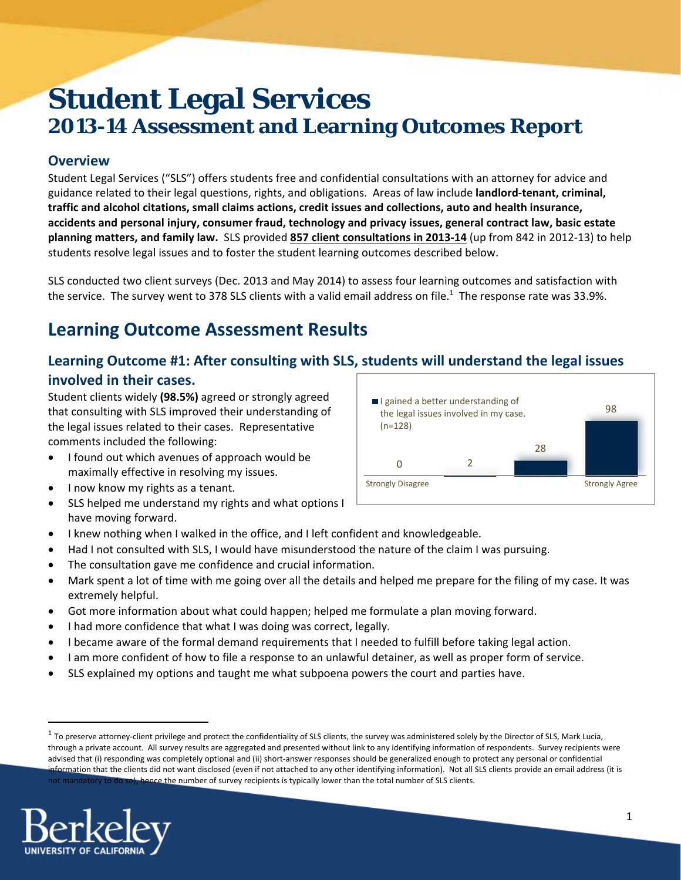# **Student Legal Services 2013-14 Assessment and Learning Outcomes Report**

## **Overview**

Student Legal Services ("SLS") offers students free and confidential consultations with an attorney for advice and guidance related to their legal questions, rights, and obligations. Areas of law include **landlord‐tenant, criminal, traffic and alcohol citations, small claims actions, credit issues and collections, auto and health insurance, accidents and personal injury, consumer fraud, technology and privacy issues, general contract law, basic estate planning matters, and family law.** SLS provided **857 client consultations in 2013‐14** (up from 842 in 2012‐13) to help students resolve legal issues and to foster the student learning outcomes described below.

SLS conducted two client surveys (Dec. 2013 and May 2014) to assess four learning outcomes and satisfaction with the service. The survey went to 378 SLS clients with a valid email address on file.<sup>1</sup> The response rate was 33.9%.

## **Learning Outcome Assessment Results**

## **Learning Outcome #1: After consulting with SLS, students will understand the legal issues involved in their cases.**

Student clients widely **(98.5%)** agreed or strongly agreed that consulting with SLS improved their understanding of the legal issues related to their cases. Representative comments included the following:

- I found out which avenues of approach would be maximally effective in resolving my issues.
- I now know my rights as a tenant.
- SLS helped me understand my rights and what options I have moving forward.
- I knew nothing when I walked in the office, and I left confident and knowledgeable.
- Had I not consulted with SLS, I would have misunderstood the nature of the claim I was pursuing.
- The consultation gave me confidence and crucial information.
- Mark spent a lot of time with me going over all the details and helped me prepare for the filing of my case. It was extremely helpful.
- Got more information about what could happen; helped me formulate a plan moving forward.
- I had more confidence that what I was doing was correct, legally.
- I became aware of the formal demand requirements that I needed to fulfill before taking legal action.
- I am more confident of how to file a response to an unlawful detainer, as well as proper form of service.
- SLS explained my options and taught me what subpoena powers the court and parties have.

 $1$  To preserve attorney-client privilege and protect the confidentiality of SLS clients, the survey was administered solely by the Director of SLS, Mark Lucia, through a private account. All survey results are aggregated and presented without link to any identifying information of respondents. Survey recipients were advised that (i) responding was completely optional and (ii) short‐answer responses should be generalized enough to protect any personal or confidential information that the clients did not want disclosed (even if not attached to any other identifying information). Not all SLS clients provide an email address (it is not mandatory to do so), hence the number of survey recipients is typically lower than the total number of SLS clients.



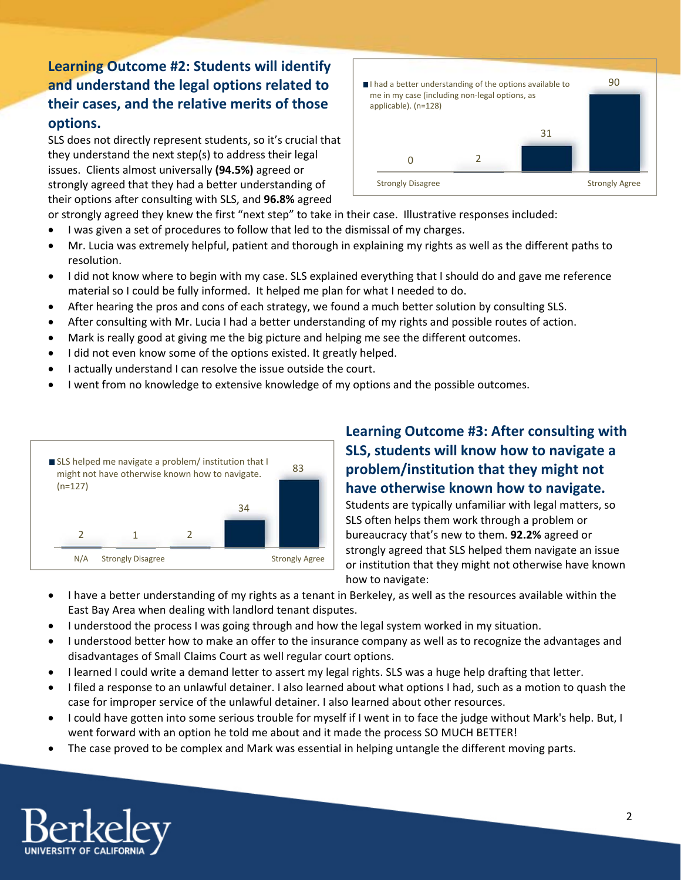## **Learning Outcome #2: Students will identify and understand the legal options related to their cases, and the relative merits of those options.**

SLS does not directly represent students, so it's crucial that they understand the next step(s) to address their legal issues. Clients almost universally **(94.5%)** agreed or strongly agreed that they had a better understanding of their options after consulting with SLS, and **96.8%** agreed



- or strongly agreed they knew the first "next step" to take in their case. Illustrative responses included:
- I was given a set of procedures to follow that led to the dismissal of my charges.
- Mr. Lucia was extremely helpful, patient and thorough in explaining my rights as well as the different paths to resolution.
- I did not know where to begin with my case. SLS explained everything that I should do and gave me reference material so I could be fully informed. It helped me plan for what I needed to do.
- After hearing the pros and cons of each strategy, we found a much better solution by consulting SLS.
- After consulting with Mr. Lucia I had a better understanding of my rights and possible routes of action.
- Mark is really good at giving me the big picture and helping me see the different outcomes.
- I did not even know some of the options existed. It greatly helped.
- I actually understand I can resolve the issue outside the court.
- I went from no knowledge to extensive knowledge of my options and the possible outcomes.



## **Learning Outcome #3: After consulting with SLS, students will know how to navigate a problem/institution that they might not have otherwise known how to navigate.**

Students are typically unfamiliar with legal matters, so SLS often helps them work through a problem or bureaucracy that's new to them. **92.2%** agreed or strongly agreed that SLS helped them navigate an issue or institution that they might not otherwise have known how to navigate:

- I have a better understanding of my rights as a tenant in Berkeley, as well as the resources available within the East Bay Area when dealing with landlord tenant disputes.
- I understood the process I was going through and how the legal system worked in my situation.
- I understood better how to make an offer to the insurance company as well as to recognize the advantages and disadvantages of Small Claims Court as well regular court options.
- I learned I could write a demand letter to assert my legal rights. SLS was a huge help drafting that letter.
- I filed a response to an unlawful detainer. I also learned about what options I had, such as a motion to quash the case for improper service of the unlawful detainer. I also learned about other resources.
- I could have gotten into some serious trouble for myself if I went in to face the judge without Mark's help. But, I went forward with an option he told me about and it made the process SO MUCH BETTER!
- The case proved to be complex and Mark was essential in helping untangle the different moving parts.

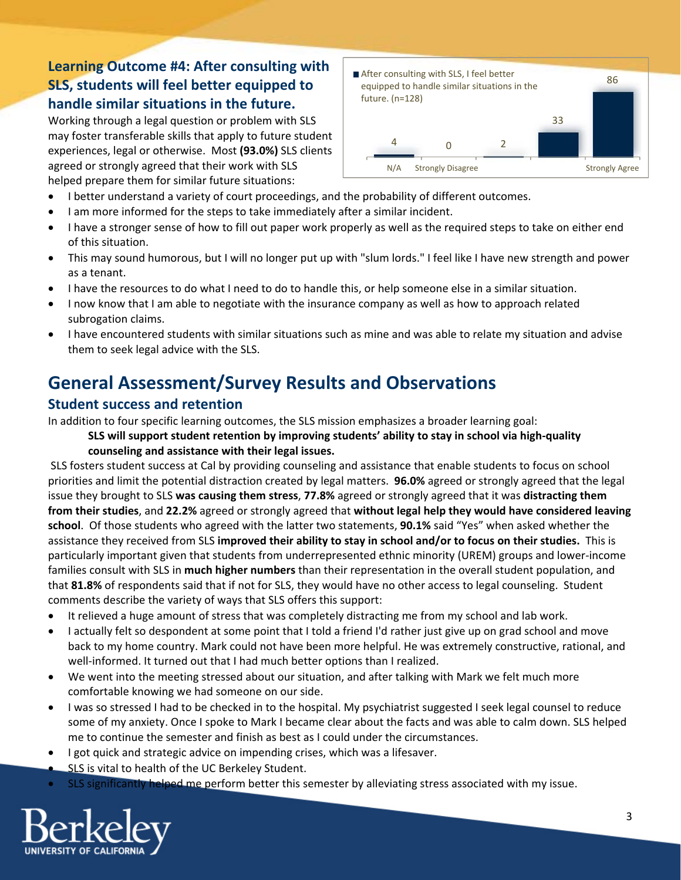## **Learning Outcome #4: After consulting with SLS, students will feel better equipped to handle similar situations in the future.**

Working through a legal question or problem with SLS may foster transferable skills that apply to future student experiences, legal or otherwise. Most **(93.0%)** SLS clients agreed or strongly agreed that their work with SLS helped prepare them for similar future situations:



- I better understand a variety of court proceedings, and the probability of different outcomes.
- I am more informed for the steps to take immediately after a similar incident.
- I have a stronger sense of how to fill out paper work properly as well as the required steps to take on either end of this situation.
- This may sound humorous, but I will no longer put up with "slum lords." I feel like I have new strength and power as a tenant.
- I have the resources to do what I need to do to handle this, or help someone else in a similar situation.
- I now know that I am able to negotiate with the insurance company as well as how to approach related subrogation claims.
- I have encountered students with similar situations such as mine and was able to relate my situation and advise them to seek legal advice with the SLS.

## **General Assessment/Survey Results and Observations**

## **Student success and retention**

In addition to four specific learning outcomes, the SLS mission emphasizes a broader learning goal:

#### **SLS will support student retention by improving students' ability to stay in school via high‐quality counseling and assistance with their legal issues.**

SLS fosters student success at Cal by providing counseling and assistance that enable students to focus on school priorities and limit the potential distraction created by legal matters. **96.0%** agreed or strongly agreed that the legal issue they brought to SLS **was causing them stress**, **77.8%** agreed or strongly agreed that it was **distracting them from their studies**, and **22.2%** agreed or strongly agreed that **without legal help they would have considered leaving school**. Of those students who agreed with the latter two statements, **90.1%** said "Yes" when asked whether the assistance they received from SLS **improved their ability to stay in school and/or to focus on their studies.** This is particularly important given that students from underrepresented ethnic minority (UREM) groups and lower‐income families consult with SLS in **much higher numbers** than their representation in the overall student population, and that **81.8%** of respondents said that if not for SLS, they would have no other access to legal counseling. Student comments describe the variety of ways that SLS offers this support:

- It relieved a huge amount of stress that was completely distracting me from my school and lab work.
- I actually felt so despondent at some point that I told a friend I'd rather just give up on grad school and move back to my home country. Mark could not have been more helpful. He was extremely constructive, rational, and well-informed. It turned out that I had much better options than I realized.
- We went into the meeting stressed about our situation, and after talking with Mark we felt much more comfortable knowing we had someone on our side.
- I was so stressed I had to be checked in to the hospital. My psychiatrist suggested I seek legal counsel to reduce some of my anxiety. Once I spoke to Mark I became clear about the facts and was able to calm down. SLS helped me to continue the semester and finish as best as I could under the circumstances.
- I got quick and strategic advice on impending crises, which was a lifesaver.
- SLS is vital to health of the UC Berkeley Student.
- SLS significantly helped me perform better this semester by alleviating stress associated with my issue.